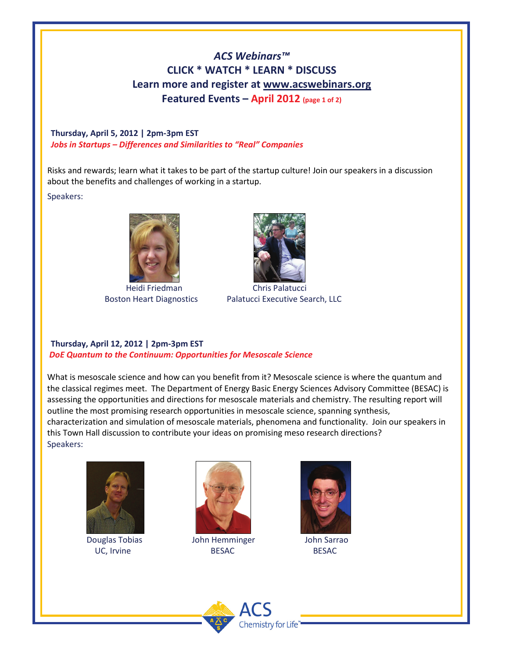## *ACS Webinars™* **CLICK \* WATCH \* LEARN \* DISCUSS Learn more and register at [www.acswebinars.org](http://www.acswebinars.org/) Featured Events – April 2012 (page 1 of 2)**

#### **Thursday, April 5, 2012 | 2pm-3pm EST**  *Jobs in Startups – Differences and Similarities to "Real" Companies*

Risks and rewards; learn what it takes to be part of the startup culture! Join our speakers in a discussion about the benefits and challenges of working in a startup.

#### Speakers:



Heidi Friedman Chris Palatucci



Boston Heart Diagnostics Palatucci Executive Search, LLC

#### **Thursday, April 12, 2012 | 2pm-3pm EST**  *DoE Quantum to the Continuum: Opportunities for Mesoscale Science*

What is mesoscale science and how can you benefit from it? Mesoscale science is where the quantum and the classical regimes meet. The Department of Energy Basic Energy Sciences Advisory Committee (BESAC) is assessing the opportunities and directions for mesoscale materials and chemistry. The resulting report will outline the most promising research opportunities in mesoscale science, spanning synthesis, characterization and simulation of mesoscale materials, phenomena and functionality. Join our speakers in this Town Hall discussion to contribute your ideas on promising meso research directions? Speakers:



**1980 - John Hemminger John Sarrao John Sarrao**<br>Douglas Tobias John Hemminger John Sarrao



UC, Irvine BESAC BESAC BESAC